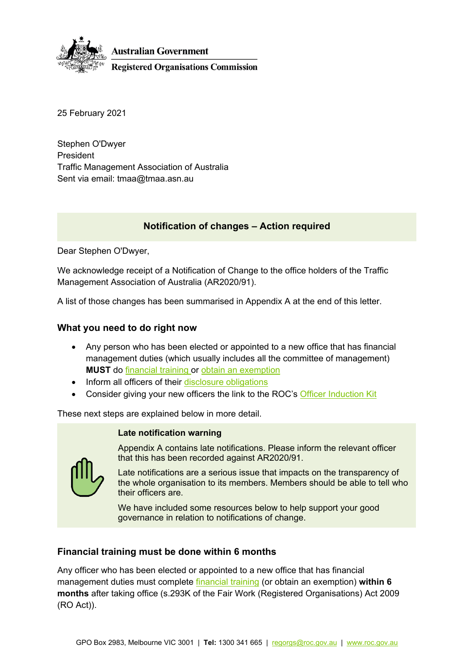

25 February 2021

Stephen O'Dwyer President Traffic Management Association of Australia Sent via email: tmaa@tmaa.asn.au

# **Notification of changes – Action required**

Dear Stephen O'Dwyer,

We acknowledge receipt of a Notification of Change to the office holders of the Traffic Management Association of Australia (AR2020/91).

A list of those changes has been summarised in Appendix A at the end of this letter.

### **What you need to do right now**

- Any person who has been elected or appointed to a new office that has financial management duties (which usually includes all the committee of management) **MUST** do [financial training](https://www.roc.gov.au/ArticleDocuments/429/fs025-officer-financial-training.pdf.aspx) or [obtain an exemption](https://www.roc.gov.au/ArticleDocuments/443/af004-financial-training-exemption-form.docx.aspx)
- Inform all officers of their [disclosure obligations](https://www.roc.gov.au/tools-and-resources/officers-and-disclosures#disclosures)
- Consider giving your new officers the link to the ROC's [Officer Induction Kit](https://www.roc.gov.au/ArticleDocuments/429/gn006_officer_induction_kit.docx.aspx)

These next steps are explained below in more detail.

### **Late notification warning**



Appendix A contains late notifications. Please inform the relevant officer that this has been recorded against AR2020/91.

Late notifications are a serious issue that impacts on the transparency of the whole organisation to its members. Members should be able to tell who their officers are.

We have included some resources below to help support your good governance in relation to notifications of change.

## **Financial training must be done within 6 months**

Any officer who has been elected or appointed to a new office that has financial management duties must complete [financial training](https://www.roc.gov.au/running-a-registered-organisation/approved-financial-training) (or obtain an exemption) **within 6 months** after taking office (s.293K of the Fair Work (Registered Organisations) Act 2009 (RO Act)).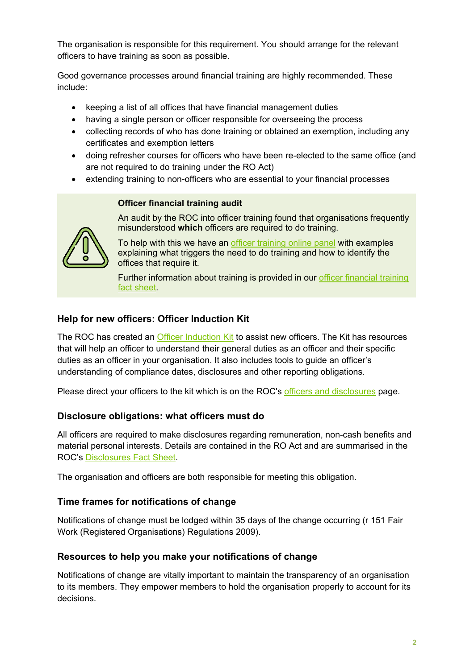The organisation is responsible for this requirement. You should arrange for the relevant officers to have training as soon as possible.

Good governance processes around financial training are highly recommended. These include:

- keeping a list of all offices that have financial management duties
- having a single person or officer responsible for overseeing the process
- collecting records of who has done training or obtained an exemption, including any certificates and exemption letters
- doing refresher courses for officers who have been re-elected to the same office (and are not required to do training under the RO Act)
- extending training to non-officers who are essential to your financial processes

## **Officer financial training audit**



An audit by the ROC into officer training found that organisations frequently misunderstood **which** officers are required to do training.

To help with this we have an [officer training online panel](https://www.roc.gov.au/education/information-workshops) with examples explaining what triggers the need to do training and how to identify the offices that require it.

Further information about training is provided in our [officer financial training](https://www.roc.gov.au/ArticleDocuments/429/fs025-officer-financial-training.pdf.aspx)  [fact sheet.](https://www.roc.gov.au/ArticleDocuments/429/fs025-officer-financial-training.pdf.aspx)

# **Help for new officers: Officer Induction Kit**

The ROC has created an [Officer Induction Kit](https://www.roc.gov.au/ArticleDocuments/429/gn006_officer_induction_kit.docx.aspx) to assist new officers. The Kit has resources that will help an officer to understand their general duties as an officer and their specific duties as an officer in your organisation. It also includes tools to guide an officer's understanding of compliance dates, disclosures and other reporting obligations.

Please direct your officers to the kit which is on the ROC's [officers and disclosures](https://www.roc.gov.au/tools-and-resources/officers-and-disclosures) page.

# **Disclosure obligations: what officers must do**

All officers are required to make disclosures regarding remuneration, non-cash benefits and material personal interests. Details are contained in the RO Act and are summarised in the ROC's [Disclosures Fact Sheet.](https://www.roc.gov.au/ArticleDocuments/429/fs005-required-officer-disclosures-under-ro-act-fact-sheet.pdf.aspx)

The organisation and officers are both responsible for meeting this obligation.

# **Time frames for notifications of change**

Notifications of change must be lodged within 35 days of the change occurring (r 151 Fair Work (Registered Organisations) Regulations 2009).

# **Resources to help you make your notifications of change**

Notifications of change are vitally important to maintain the transparency of an organisation to its members. They empower members to hold the organisation properly to account for its decisions.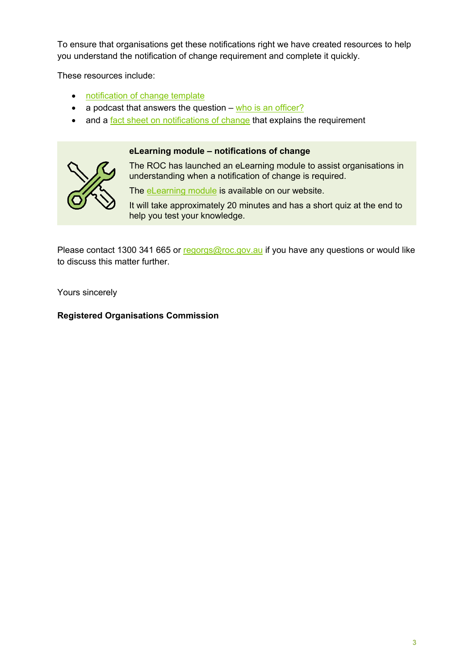To ensure that organisations get these notifications right we have created resources to help you understand the notification of change requirement and complete it quickly.

These resources include:

- [notification of change template](https://www.roc.gov.au/ArticleDocuments/428/tf006-org-annual-return-notification-of-changes-template-form.docx.aspx)
- a podcast that answers the question  $-\omega$  [who is an officer?](https://www.roc.gov.au/education/podcast/podcast-episodes/rocpod-episode-4)
- and a [fact sheet on notifications of change](https://www.roc.gov.au/ArticleDocuments/429/fs014-notification-of-changes-fact-sheet.pdf.aspx) that explains the requirement

### **eLearning module – notifications of change**



The ROC has launched an eLearning module to assist organisations in understanding when a notification of change is required.

The [eLearning module](https://www.roc.gov.au/scorm/launch.ashx?packageID=6) is available on our website.

It will take approximately 20 minutes and has a short quiz at the end to help you test your knowledge.

Please contact 1300 341 665 or [regorgs@roc.gov.au](mailto:regorgs@roc.gov.au) if you have any questions or would like to discuss this matter further.

Yours sincerely

**Registered Organisations Commission**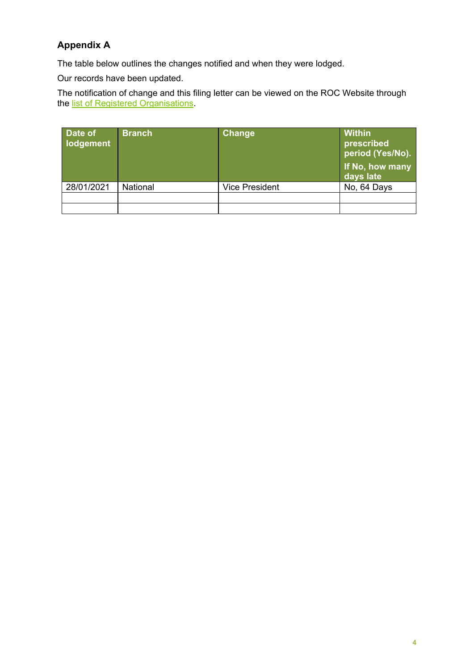# **Appendix A**

The table below outlines the changes notified and when they were lodged.

Our records have been updated.

The notification of change and this filing letter can be viewed on the ROC Website through the <u>list of Registered Organisations</u>.

| Date of<br>lodgement | <b>Branch</b> | Change                | <b>Within</b><br>prescribed<br>period (Yes/No).<br>If No, how many<br>days late |
|----------------------|---------------|-----------------------|---------------------------------------------------------------------------------|
| 28/01/2021           | National      | <b>Vice President</b> | No, 64 Days                                                                     |
|                      |               |                       |                                                                                 |
|                      |               |                       |                                                                                 |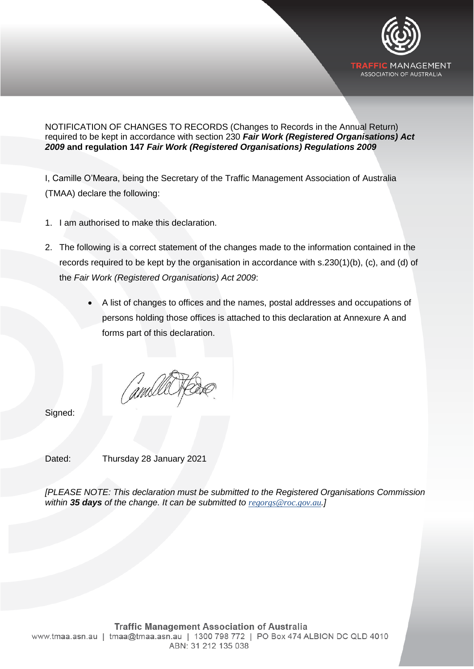

NOTIFICATION OF CHANGES TO RECORDS (Changes to Records in the Annual Return) required to be kept in accordance with section 230 *Fair Work (Registered Organisations) Act 2009* **and regulation 147** *Fair Work (Registered Organisations) Regulations 2009*

I, Camille O'Meara, being the Secretary of the Traffic Management Association of Australia (TMAA) declare the following:

- 1. I am authorised to make this declaration.
- 2. The following is a correct statement of the changes made to the information contained in the records required to be kept by the organisation in accordance with s.230(1)(b), (c), and (d) of the *Fair Work (Registered Organisations) Act 2009*:
	- A list of changes to offices and the names, postal addresses and occupations of persons holding those offices is attached to this declaration at Annexure A and forms part of this declaration.

Signed:

Dated: Thursday 28 January 2021

*[PLEASE NOTE: This declaration must be submitted to the Registered Organisations Commission within 35 days of the change. It can be submitted to [regorgs@roc.gov.au](mailto:regorgs@roc.gov.au).]*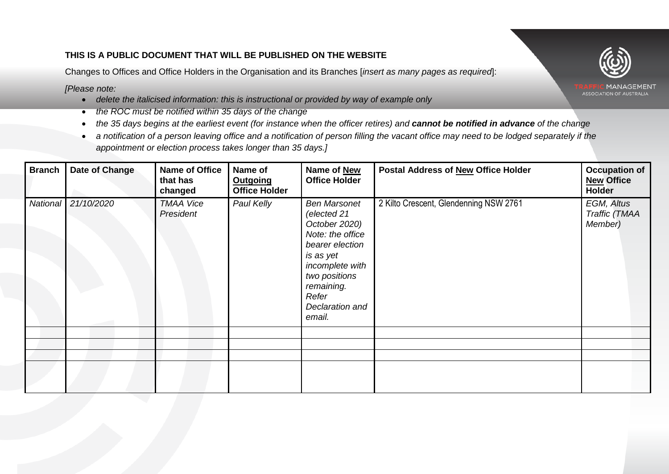## **THIS IS A PUBLIC DOCUMENT THAT WILL BE PUBLISHED ON THE WEBSITE**

Changes to Offices and Office Holders in the Organisation and its Branches [*insert as many pages as required*]:

*[Please note:*

- *delete the italicised information: this is instructional or provided by way of example only*
- *the ROC must be notified within 35 days of the change*
- the 35 days begins at the earliest event (for instance when the officer retires) and **cannot be notified in advance** of the change
- *a notification of a person leaving office and a notification of person filling the vacant office may need to be lodged separately if the appointment or election process takes longer than 35 days.]*

| <b>Branch</b> | Date of Change      | <b>Name of Office</b><br>that has<br>changed | Name of<br><b>Outgoing</b><br><b>Office Holder</b> | Name of New<br><b>Office Holder</b>                                                                                                                                                             | Postal Address of New Office Holder    | <b>Occupation of</b><br><b>New Office</b><br><b>Holder</b> |
|---------------|---------------------|----------------------------------------------|----------------------------------------------------|-------------------------------------------------------------------------------------------------------------------------------------------------------------------------------------------------|----------------------------------------|------------------------------------------------------------|
|               | National 21/10/2020 | <b>TMAA Vice</b><br>President                | Paul Kelly                                         | <b>Ben Marsonet</b><br>(elected 21<br>October 2020)<br>Note: the office<br>bearer election<br>is as yet<br>incomplete with<br>two positions<br>remaining.<br>Refer<br>Declaration and<br>email. | 2 Kilto Crescent, Glendenning NSW 2761 | EGM, Altus<br>Traffic (TMAA<br>Member)                     |
|               |                     |                                              |                                                    |                                                                                                                                                                                                 |                                        |                                                            |
|               |                     |                                              |                                                    |                                                                                                                                                                                                 |                                        |                                                            |
|               |                     |                                              |                                                    |                                                                                                                                                                                                 |                                        |                                                            |
|               |                     |                                              |                                                    |                                                                                                                                                                                                 |                                        |                                                            |



ASSOCIATION OF AUSTRALIA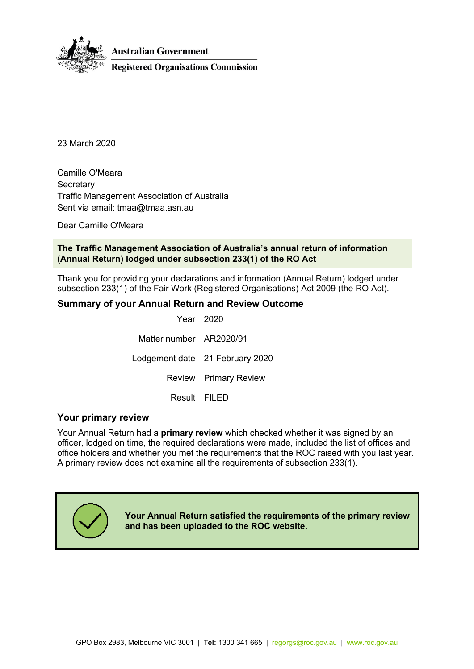

23 March 2020

Camille O'Meara **Secretary** Traffic Management Association of Australia Sent via email: tmaa@tmaa.asn.au

Dear Camille O'Meara

### **The Traffic Management Association of Australia's annual return of information (Annual Return) lodged under subsection 233(1) of the RO Act**

Thank you for providing your declarations and information (Annual Return) lodged under subsection 233(1) of the Fair Work (Registered Organisations) Act 2009 (the RO Act).

### **Summary of your Annual Return and Review Outcome**

Year 2020 Matter number AR2020/91 Lodgement date 21 February 2020 Review Primary Review Result FILED

### **Your primary review**

Your Annual Return had a **primary review** which checked whether it was signed by an officer, lodged on time, the required declarations were made, included the list of offices and office holders and whether you met the requirements that the ROC raised with you last year. A primary review does not examine all the requirements of subsection 233(1).



**Your Annual Return satisfied the requirements of the primary review and has been uploaded to the ROC website.**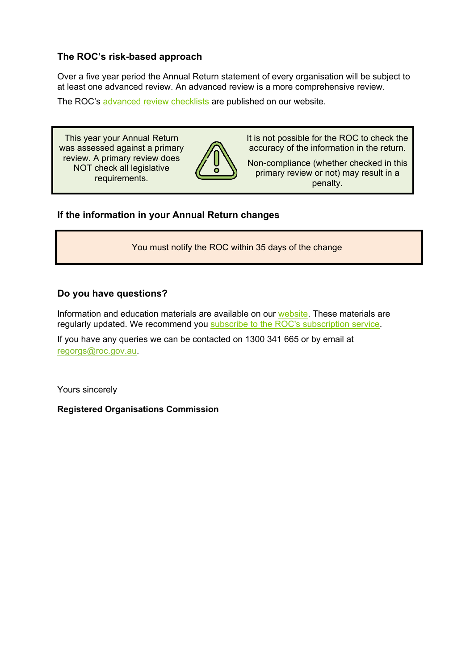## **The ROC's risk-based approach**

Over a five year period the Annual Return statement of every organisation will be subject to at least one advanced review. An advanced review is a more comprehensive review.

The ROC's [advanced](https://www.roc.gov.au/tools-and-resources/annual-return-and-notification-of-changes#annualreturn) review checklists are published on our website.

This year your Annual Return was assessed against a primary review. A primary review does NOT check all legislative requirements.



It is not possible for the ROC to check the accuracy of the information in the return.

Non-compliance (whether checked in this primary review or not) may result in a penalty.

## **If the information in your Annual Return changes**

You must notify the ROC within 35 days of the change

## **Do you have questions?**

Information and education materials are available on our [website.](https://www.roc.gov.au/) These materials are regularly updated. We recommend you subscribe to the ROC's [subscription](https://www.roc.gov.au/global/featured-content/website-information/email-updates) service.

If you have any queries we can be contacted on 1300 341 665 or by email at [regorgs@roc.gov.au.](mailto:regorgs@roc.gov.au)

Yours sincerely

**Registered Organisations Commission**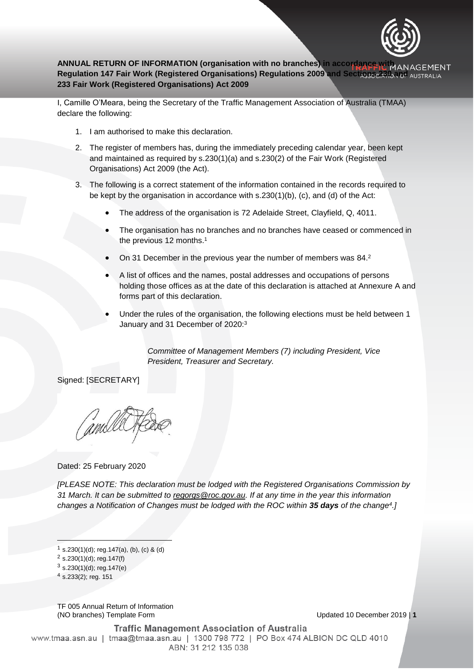

## **ANNUAL RETURN OF INFORMATION (organisation with no branches) in accordance with ANAGEMENT** Regulation 147 Fair Work (Registered Organisations) Regulations 2009 and Sections 230 and AUSTRALIA **233 Fair Work (Registered Organisations) Act 2009**

I, Camille O'Meara, being the Secretary of the Traffic Management Association of Australia (TMAA) declare the following:

- 1. I am authorised to make this declaration.
- 2. The register of members has, during the immediately preceding calendar year, been kept and maintained as required by s.230(1)(a) and s.230(2) of the Fair Work (Registered Organisations) Act 2009 (the Act).
- 3. The following is a correct statement of the information contained in the records required to be kept by the organisation in accordance with s.230(1)(b), (c), and (d) of the Act:
	- The address of the organisation is 72 Adelaide Street, Clayfield, Q, 4011.
	- The organisation has no branches and no branches have ceased or commenced in the previous 12 months.<sup>1</sup>
	- On 31 December in the previous year the number of members was 84.<sup>2</sup>
	- A list of offices and the names, postal addresses and occupations of persons holding those offices as at the date of this declaration is attached at Annexure A and forms part of this declaration.
	- Under the rules of the organisation, the following elections must be held between 1 January and 31 December of 2020:<sup>3</sup>

*Committee of Management Members (7) including President, Vice President, Treasurer and Secretary.*

Signed: [SECRETARY]

Dated: 25 February 2020

*[PLEASE NOTE: This declaration must be lodged with the Registered Organisations Commission by 31 March. It can be submitted to [regorgs@roc.gov.au.](mailto:regorgs@roc.gov.au) If at any time in the year this information changes a Notification of Changes must be lodged with the ROC within 35 days of the change<sup>4</sup> .]*

 $\overline{\phantom{a}}$ 

TF 005 Annual Return of Information (NO branches) Template Form Updated 10 December 2019 | **1**

**Traffic Management Association of Australia** www.tmaa.asn.au | tmaa@tmaa.asn.au | 1300 798 772 | PO Box 474 ALBION DC QLD 4010 ABN: 31 212 135 038

 $1$  s.230(1)(d); reg.147(a), (b), (c) & (d)

 $2$  s.230(1)(d); reg.147(f)

 $3$  s.230(1)(d); reg.147(e)

 $4$  s.233(2); reg. 151